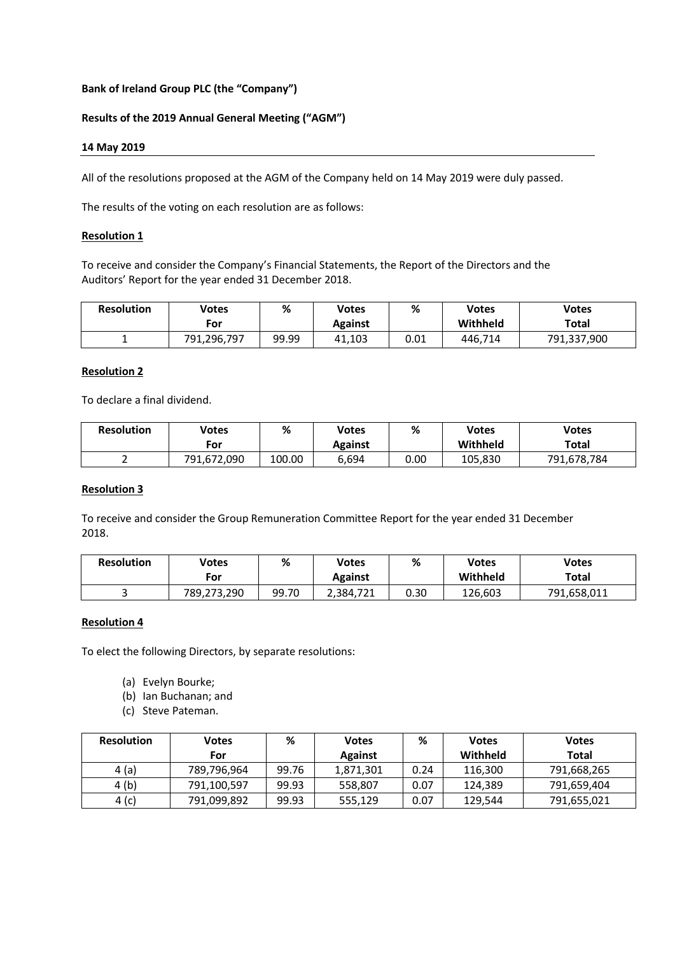## **Bank of Ireland Group PLC (the "Company")**

## **Results of the 2019 Annual General Meeting ("AGM")**

### **14 May 2019**

All of the resolutions proposed at the AGM of the Company held on 14 May 2019 were duly passed.

The results of the voting on each resolution are as follows:

### **Resolution 1**

To receive and consider the Company's Financial Statements, the Report of the Directors and the Auditors' Report for the year ended 31 December 2018.

| <b>Resolution</b> | Votes       | %     | Votes   | %    | <b>Votes</b> | <b>Votes</b> |
|-------------------|-------------|-------|---------|------|--------------|--------------|
|                   | For         |       | Against |      | Withheld     | Total        |
|                   | 791,296,797 | 99.99 | 41,103  | 0.01 | 446,714      | 791,337,900  |

### **Resolution 2**

To declare a final dividend.

| <b>Resolution</b> | Votes       | %      | Votes   | %    | Votes    | <b>Votes</b> |
|-------------------|-------------|--------|---------|------|----------|--------------|
|                   | For         |        | Against |      | Withheld | Total        |
|                   | 791,672,090 | 100.00 | 6,694   | 0.00 | 105.830  | 791,678,784  |

## **Resolution 3**

To receive and consider the Group Remuneration Committee Report for the year ended 31 December 2018.

| <b>Resolution</b> | <b>Votes</b><br>For | %     | Votes<br><b>Against</b> | %    | <b>Votes</b><br>Withheld | <b>Votes</b><br>Total |
|-------------------|---------------------|-------|-------------------------|------|--------------------------|-----------------------|
|                   | 789,273,290         | 99.70 | 2.384.721               | ა.30 | 126.603                  | 791,658,011           |

#### **Resolution 4**

To elect the following Directors, by separate resolutions:

- (a) Evelyn Bourke;
- (b) Ian Buchanan; and
- (c) Steve Pateman.

| <b>Resolution</b> | <b>Votes</b> | %     | <b>Votes</b>   | ℅    | <b>Votes</b> | <b>Votes</b> |
|-------------------|--------------|-------|----------------|------|--------------|--------------|
|                   | For          |       | <b>Against</b> |      | Withheld     | Total        |
| 4(a)              | 789,796,964  | 99.76 | 1,871,301      | 0.24 | 116,300      | 791,668,265  |
| 4 (b)             | 791,100,597  | 99.93 | 558,807        | 0.07 | 124,389      | 791,659,404  |
| 4 (c)             | 791,099,892  | 99.93 | 555.129        | 0.07 | 129.544      | 791,655,021  |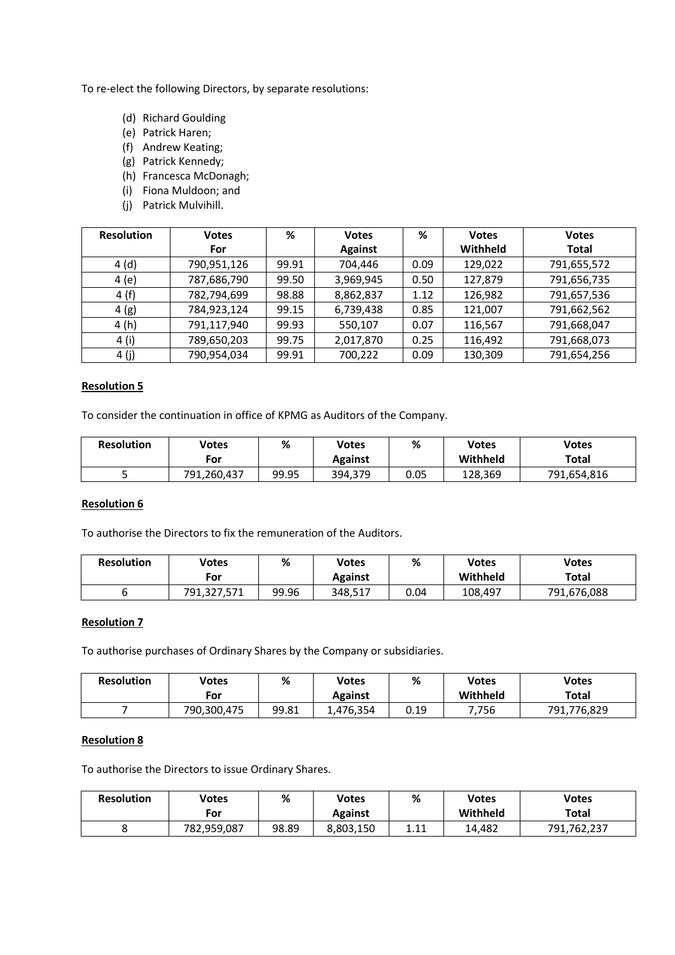To re-elect the following Directors, by separate resolutions:

- (d) Richard Goulding
- (e) Patrick Haren;
- (f) Andrew Keating;
- (g) Patrick Kennedy;
- (h) Francesca McDonagh;
- (i) Fiona Muldoon; and
- (j) Patrick Mulvihill.

| <b>Resolution</b> | <b>Votes</b> | %     | <b>Votes</b>   | %    | <b>Votes</b> | <b>Votes</b> |
|-------------------|--------------|-------|----------------|------|--------------|--------------|
|                   | For          |       | <b>Against</b> |      | Withheld     | <b>Total</b> |
| 4(d)              | 790,951,126  | 99.91 | 704,446        | 0.09 | 129,022      | 791,655,572  |
| 4(e)              | 787,686,790  | 99.50 | 3,969,945      | 0.50 | 127,879      | 791,656,735  |
| 4(f)              | 782,794,699  | 98.88 | 8,862,837      | 1.12 | 126,982      | 791,657,536  |
| 4(g)              | 784,923,124  | 99.15 | 6,739,438      | 0.85 | 121,007      | 791,662,562  |
| 4(h)              | 791,117,940  | 99.93 | 550,107        | 0.07 | 116,567      | 791,668,047  |
| 4 (i)             | 789,650,203  | 99.75 | 2,017,870      | 0.25 | 116,492      | 791,668,073  |
| 4 (j)             | 790,954,034  | 99.91 | 700,222        | 0.09 | 130,309      | 791,654,256  |

## **Resolution 5**

To consider the continuation in office of KPMG as Auditors of the Company.

| <b>Resolution</b> | Votes<br>For | %     | Votes<br>Against | %    | <b>Votes</b><br>Withheld | <b>Votes</b><br>Total |
|-------------------|--------------|-------|------------------|------|--------------------------|-----------------------|
|                   | 791,260,437  | 99.95 | 394,379          | 0.05 | 128.369                  | 791,654,816           |

## **Resolution 6**

To authorise the Directors to fix the remuneration of the Auditors.

| <b>Resolution</b> | Votes       | %     | Votes   | %    | Votes    | <b>Votes</b> |
|-------------------|-------------|-------|---------|------|----------|--------------|
|                   | For         |       | Against |      | Withheld | Total        |
|                   | 791,327,571 | 99.96 | 348,517 | 0.04 | 108,497  | 791,676,088  |

## **Resolution 7**

To authorise purchases of Ordinary Shares by the Company or subsidiaries.

| <b>Resolution</b> | Votes<br>For | %     | Votes<br>Against | %    | Votes<br>Withheld | <b>Votes</b><br>Total |
|-------------------|--------------|-------|------------------|------|-------------------|-----------------------|
|                   | 790,300,475  | 99.81 | 1,476,354        | 0.19 | 756,'             | 791,776,829           |

# **Resolution 8**

To authorise the Directors to issue Ordinary Shares.

| <b>Resolution</b> | Votes       | %     | Votes     | %             | Votes    | <b>Votes</b> |
|-------------------|-------------|-------|-----------|---------------|----------|--------------|
|                   | For         |       | Against   |               | Withheld | Total        |
|                   | 782,959,087 | 98.89 | 8,803,150 | 111<br>+. + + | 14,482   | 791,762,237  |